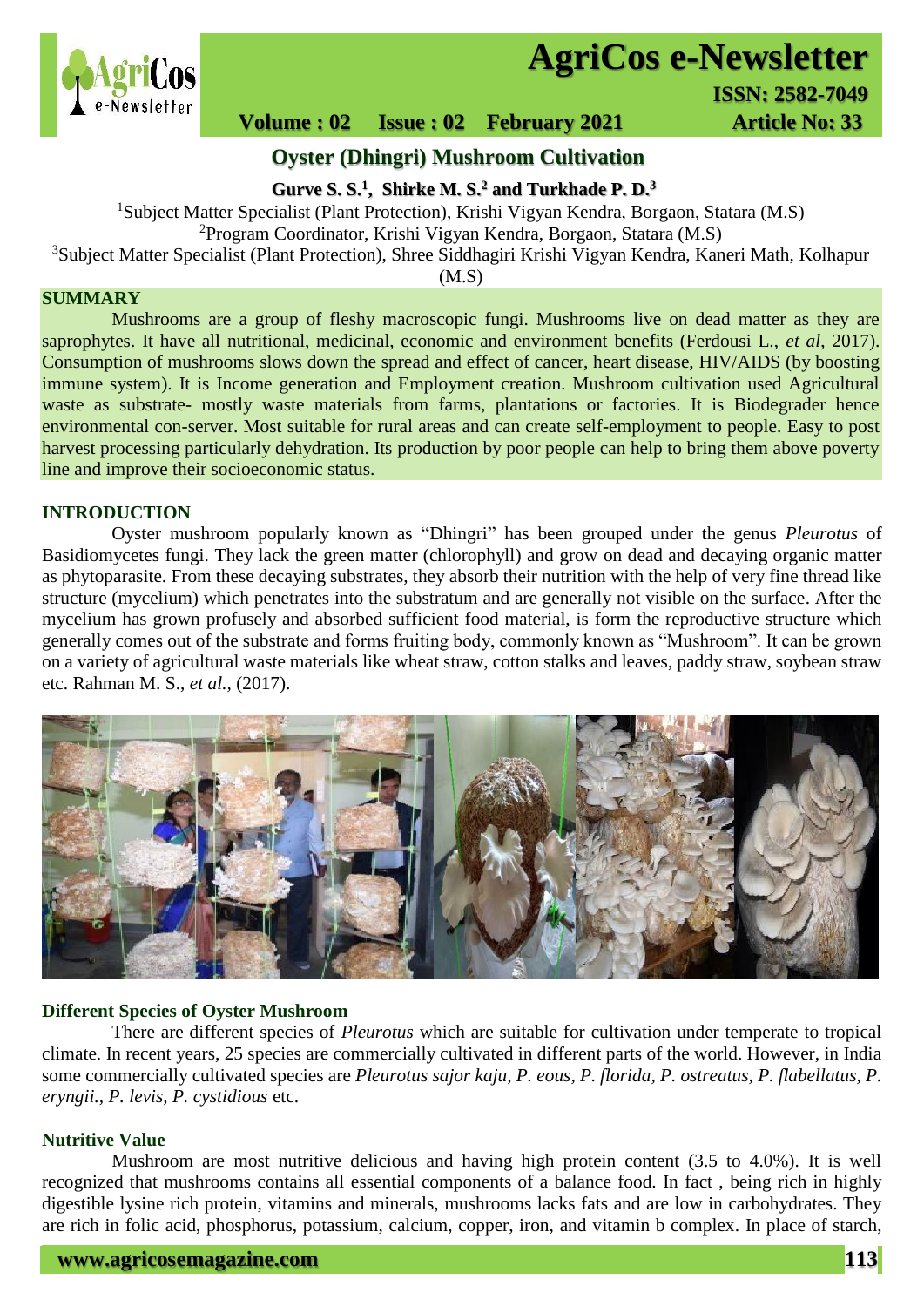

# **AgriCos e-Newsletter**

## **Volume : 02 Issue : 02 February 2021 4rticle No: 33**

### **Oyster (Dhingri) Mushroom Cultivation**

**Gurve S. S.<sup>1</sup> , Shirke M. S.<sup>2</sup> and Turkhade P. D.<sup>3</sup>**

<sup>1</sup>Subject Matter Specialist (Plant Protection), Krishi Vigyan Kendra, Borgaon, Statara (M.S)

<sup>2</sup>Program Coordinator, Krishi Vigyan Kendra, Borgaon, Statara (M.S)

<sup>3</sup>Subject Matter Specialist (Plant Protection), Shree Siddhagiri Krishi Vigyan Kendra, Kaneri Math, Kolhapur

(M.S)

#### **SUMMARY**

 Mushrooms are a group of fleshy macroscopic fungi. Mushrooms live on dead matter as they are saprophytes. It have all nutritional, medicinal, economic and environment benefits (Ferdousi L., *et al*, 2017). Consumption of mushrooms slows down the spread and effect of cancer, heart disease, HIV/AIDS (by boosting immune system). It is Income generation and Employment creation. Mushroom cultivation used Agricultural waste as substrate- mostly waste materials from farms, plantations or factories. It is Biodegrader hence environmental con-server. Most suitable for rural areas and can create self-employment to people. Easy to post harvest processing particularly dehydration. Its production by poor people can help to bring them above poverty line and improve their socioeconomic status.

#### **INTRODUCTION**

Oyster mushroom popularly known as "Dhingri" has been grouped under the genus *Pleurotus* of Basidiomycetes fungi. They lack the green matter (chlorophyll) and grow on dead and decaying organic matter as phytoparasite. From these decaying substrates, they absorb their nutrition with the help of very fine thread like structure (mycelium) which penetrates into the substratum and are generally not visible on the surface. After the mycelium has grown profusely and absorbed sufficient food material, is form the reproductive structure which generally comes out of the substrate and forms fruiting body, commonly known as "Mushroom". It can be grown on a variety of agricultural waste materials like wheat straw, cotton stalks and leaves, paddy straw, soybean straw etc. Rahman M. S., *et al.,* (2017).



#### **Different Species of Oyster Mushroom**

 There are different species of *Pleurotus* which are suitable for cultivation under temperate to tropical climate. In recent years, 25 species are commercially cultivated in different parts of the world. However, in India some commercially cultivated species are *Pleurotus sajor kaju, P. eous, P. florida, P. ostreatus, P. flabellatus, P. eryngii., P. levis, P. cystidious* etc.

#### **Nutritive Value**

 Mushroom are most nutritive delicious and having high protein content (3.5 to 4.0%). It is well recognized that mushrooms contains all essential components of a balance food. In fact , being rich in highly digestible lysine rich protein, vitamins and minerals, mushrooms lacks fats and are low in carbohydrates. They are rich in folic acid, phosphorus, potassium, calcium, copper, iron, and vitamin b complex. In place of starch,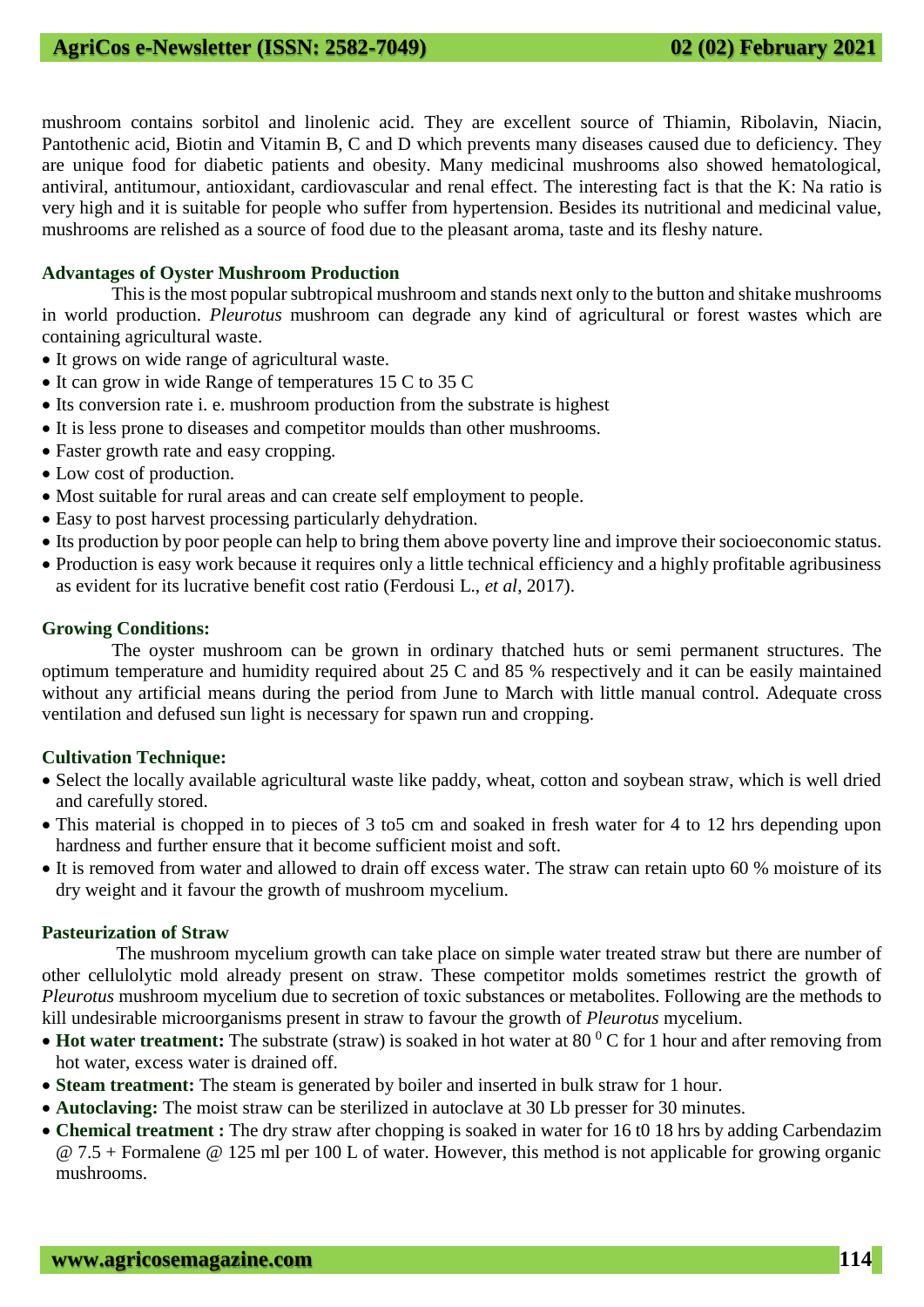mushroom contains sorbitol and linolenic acid. They are excellent source of Thiamin, Ribolavin, Niacin, Pantothenic acid, Biotin and Vitamin B, C and D which prevents many diseases caused due to deficiency. They are unique food for diabetic patients and obesity. Many medicinal mushrooms also showed hematological, antiviral, antitumour, antioxidant, cardiovascular and renal effect. The interesting fact is that the K: Na ratio is very high and it is suitable for people who suffer from hypertension. Besides its nutritional and medicinal value, mushrooms are relished as a source of food due to the pleasant aroma, taste and its fleshy nature.

#### **Advantages of Oyster Mushroom Production**

 This is the most popular subtropical mushroom and stands next only to the button and shitake mushrooms in world production. *Pleurotus* mushroom can degrade any kind of agricultural or forest wastes which are containing agricultural waste.

- It grows on wide range of agricultural waste.
- It can grow in wide Range of temperatures 15 C to 35 C
- Its conversion rate i. e. mushroom production from the substrate is highest
- It is less prone to diseases and competitor moulds than other mushrooms.
- Faster growth rate and easy cropping.
- Low cost of production.
- Most suitable for rural areas and can create self employment to people.
- Easy to post harvest processing particularly dehydration.
- Its production by poor people can help to bring them above poverty line and improve their socioeconomic status.
- Production is easy work because it requires only a little technical efficiency and a highly profitable agribusiness as evident for its lucrative benefit cost ratio (Ferdousi L., *et al*, 2017).

#### **Growing Conditions:**

 The oyster mushroom can be grown in ordinary thatched huts or semi permanent structures. The optimum temperature and humidity required about 25 C and 85 % respectively and it can be easily maintained without any artificial means during the period from June to March with little manual control. Adequate cross ventilation and defused sun light is necessary for spawn run and cropping.

#### **Cultivation Technique:**

- Select the locally available agricultural waste like paddy, wheat, cotton and soybean straw, which is well dried and carefully stored.
- This material is chopped in to pieces of 3 to5 cm and soaked in fresh water for 4 to 12 hrs depending upon hardness and further ensure that it become sufficient moist and soft.
- It is removed from water and allowed to drain off excess water. The straw can retain upto 60 % moisture of its dry weight and it favour the growth of mushroom mycelium.

#### **Pasteurization of Straw**

 The mushroom mycelium growth can take place on simple water treated straw but there are number of other cellulolytic mold already present on straw. These competitor molds sometimes restrict the growth of *Pleurotus* mushroom mycelium due to secretion of toxic substances or metabolites. Following are the methods to kill undesirable microorganisms present in straw to favour the growth of *Pleurotus* mycelium.

- Hot water treatment: The substrate (straw) is soaked in hot water at 80<sup>0</sup> C for 1 hour and after removing from hot water, excess water is drained off.
- **Steam treatment:** The steam is generated by boiler and inserted in bulk straw for 1 hour.
- **Autoclaving:** The moist straw can be sterilized in autoclave at 30 Lb presser for 30 minutes.
- **Chemical treatment :** The dry straw after chopping is soaked in water for 16 t0 18 hrs by adding Carbendazim @ 7.5 + Formalene @ 125 ml per 100 L of water. However, this method is not applicable for growing organic mushrooms.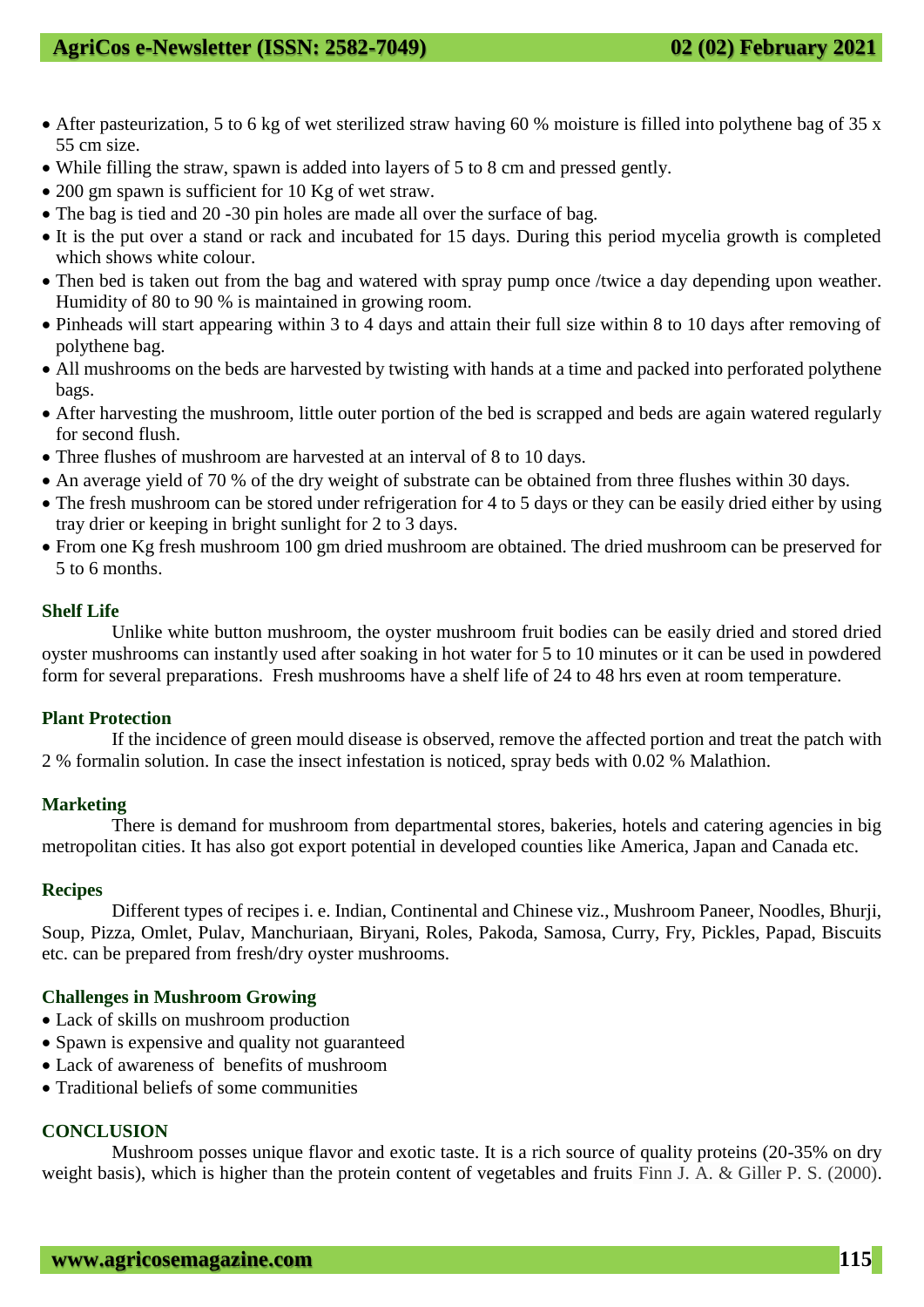- After pasteurization, 5 to 6 kg of wet sterilized straw having 60 % moisture is filled into polythene bag of 35 x 55 cm size.
- While filling the straw, spawn is added into layers of 5 to 8 cm and pressed gently.
- 200 gm spawn is sufficient for 10 Kg of wet straw.
- The bag is tied and 20 -30 pin holes are made all over the surface of bag.
- It is the put over a stand or rack and incubated for 15 days. During this period mycelia growth is completed which shows white colour.
- Then bed is taken out from the bag and watered with spray pump once /twice a day depending upon weather. Humidity of 80 to 90 % is maintained in growing room.
- Pinheads will start appearing within 3 to 4 days and attain their full size within 8 to 10 days after removing of polythene bag.
- All mushrooms on the beds are harvested by twisting with hands at a time and packed into perforated polythene bags.
- After harvesting the mushroom, little outer portion of the bed is scrapped and beds are again watered regularly for second flush.
- Three flushes of mushroom are harvested at an interval of 8 to 10 days.
- An average yield of 70 % of the dry weight of substrate can be obtained from three flushes within 30 days.
- The fresh mushroom can be stored under refrigeration for 4 to 5 days or they can be easily dried either by using tray drier or keeping in bright sunlight for 2 to 3 days.
- From one Kg fresh mushroom 100 gm dried mushroom are obtained. The dried mushroom can be preserved for 5 to 6 months.

#### **Shelf Life**

Unlike white button mushroom, the oyster mushroom fruit bodies can be easily dried and stored dried oyster mushrooms can instantly used after soaking in hot water for 5 to 10 minutes or it can be used in powdered form for several preparations. Fresh mushrooms have a shelf life of 24 to 48 hrs even at room temperature.

#### **Plant Protection**

If the incidence of green mould disease is observed, remove the affected portion and treat the patch with 2 % formalin solution. In case the insect infestation is noticed, spray beds with 0.02 % Malathion.

#### **Marketing**

There is demand for mushroom from departmental stores, bakeries, hotels and catering agencies in big metropolitan cities. It has also got export potential in developed counties like America, Japan and Canada etc.

#### **Recipes**

Different types of recipes i. e. Indian, Continental and Chinese viz., Mushroom Paneer, Noodles, Bhurji, Soup, Pizza, Omlet, Pulav, Manchuriaan, Biryani, Roles, Pakoda, Samosa, Curry, Fry, Pickles, Papad, Biscuits etc. can be prepared from fresh/dry oyster mushrooms.

#### **Challenges in Mushroom Growing**

- Lack of skills on mushroom production
- Spawn is expensive and quality not guaranteed
- Lack of awareness of benefits of mushroom
- Traditional beliefs of some communities

#### **CONCLUSION**

 Mushroom posses unique flavor and exotic taste. It is a rich source of quality proteins (20-35% on dry weight basis), which is higher than the protein content of vegetables and fruits Finn J. A. & Giller P. S. (2000).